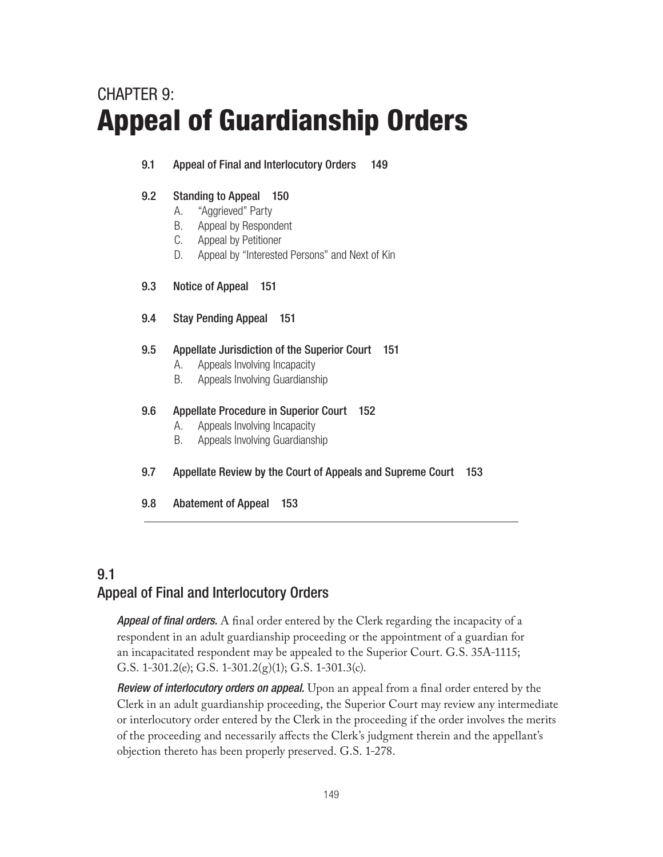# CHAPTER 9: Appeal of Guardianship Orders

### 9.1 Appeal of Final and Interlocutory Orders 149

### 9.2 Standing to Appeal 150

- A. "Aggrieved" Party
- B. Appeal by Respondent
- C. Appeal by Petitioner
- D. Appeal by "Interested Persons" and Next of Kin
- 9.3 Notice of Appeal 151
- 9.4 Stay Pending Appeal 151

### 9.5 Appellate Jurisdiction of the Superior Court 151

- A. Appeals Involving Incapacity
- B. Appeals Involving Guardianship

### 9.6 Appellate Procedure in Superior Court 152

- A. Appeals Involving Incapacity
- B. Appeals Involving Guardianship
- 9.7 Appellate Review by the Court of Appeals and Supreme Court 153
- 9.8 Abatement of Appeal 153

# 9.1 Appeal of Final and Interlocutory Orders

*Appeal of final orders.* A final order entered by the Clerk regarding the incapacity of a respondent in an adult guardianship proceeding or the appointment of a guardian for an incapacitated respondent may be appealed to the Superior Court. G.S. 35A-1115; G.S. 1-301.2(e); G.S. 1-301.2(g)(1); G.S. 1-301.3(c).

*Review of interlocutory orders on appeal.* Upon an appeal from a final order entered by the Clerk in an adult guardianship proceeding, the Superior Court may review any intermediate or interlocutory order entered by the Clerk in the proceeding if the order involves the merits of the proceeding and necessarily affects the Clerk's judgment therein and the appellant's objection thereto has been properly preserved. G.S. 1-278.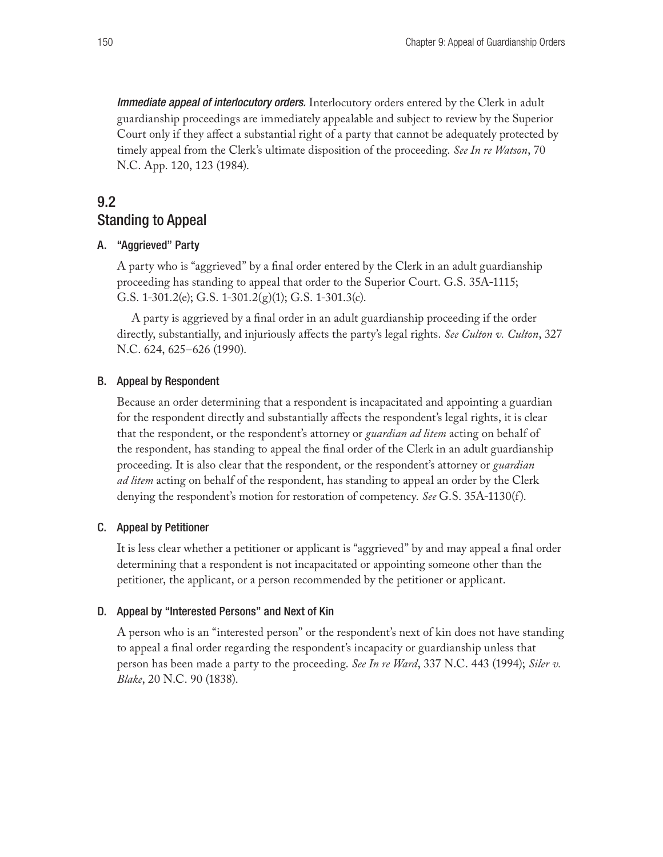*Immediate appeal of interlocutory orders.* Interlocutory orders entered by the Clerk in adult guardianship proceedings are immediately appealable and subject to review by the Superior Court only if they affect a substantial right of a party that cannot be adequately protected by timely appeal from the Clerk's ultimate disposition of the proceeding. *See In re Watson*, 70 N.C. App. 120, 123 (1984).

### 9.2 Standing to Appeal

#### A. "Aggrieved" Party

A party who is "aggrieved" by a final order entered by the Clerk in an adult guardianship proceeding has standing to appeal that order to the Superior Court. G.S. 35A-1115; G.S. 1-301.2(e); G.S. 1-301.2(g)(1); G.S. 1-301.3(c).

A party is aggrieved by a final order in an adult guardianship proceeding if the order directly, substantially, and injuriously affects the party's legal rights. *See Culton v. Culton*, 327 N.C. 624, 625–626 (1990).

#### B. Appeal by Respondent

Because an order determining that a respondent is incapacitated and appointing a guardian for the respondent directly and substantially affects the respondent's legal rights, it is clear that the respondent, or the respondent's attorney or *guardian ad litem* acting on behalf of the respondent, has standing to appeal the final order of the Clerk in an adult guardianship proceeding. It is also clear that the respondent, or the respondent's attorney or *guardian ad litem* acting on behalf of the respondent, has standing to appeal an order by the Clerk denying the respondent's motion for restoration of competency. *See* G.S. 35A-1130(f).

#### C. Appeal by Petitioner

It is less clear whether a petitioner or applicant is "aggrieved" by and may appeal a final order determining that a respondent is not incapacitated or appointing someone other than the petitioner, the applicant, or a person recommended by the petitioner or applicant.

#### D. Appeal by "Interested Persons" and Next of Kin

A person who is an "interested person" or the respondent's next of kin does not have standing to appeal a final order regarding the respondent's incapacity or guardianship unless that person has been made a party to the proceeding. *See In re Ward*, 337 N.C. 443 (1994); *Siler v. Blake*, 20 N.C. 90 (1838).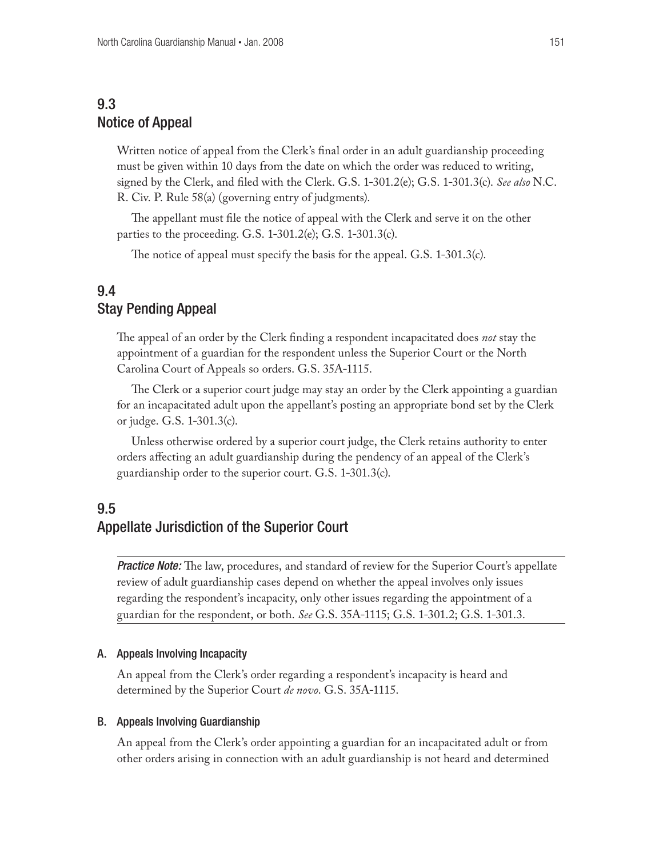# 9.3 Notice of Appeal

Written notice of appeal from the Clerk's final order in an adult guardianship proceeding must be given within 10 days from the date on which the order was reduced to writing, signed by the Clerk, and filed with the Clerk. G.S. 1-301.2(e); G.S. 1-301.3(c). *See also* N.C. R. Civ. P. Rule 58(a) (governing entry of judgments).

The appellant must file the notice of appeal with the Clerk and serve it on the other parties to the proceeding. G.S. 1-301.2(e); G.S. 1-301.3(c).

The notice of appeal must specify the basis for the appeal. G.S. 1-301.3(c).

### 9.4 Stay Pending Appeal

The appeal of an order by the Clerk finding a respondent incapacitated does *not* stay the appointment of a guardian for the respondent unless the Superior Court or the North Carolina Court of Appeals so orders. G.S. 35A-1115.

The Clerk or a superior court judge may stay an order by the Clerk appointing a guardian for an incapacitated adult upon the appellant's posting an appropriate bond set by the Clerk or judge. G.S. 1-301.3(c).

Unless otherwise ordered by a superior court judge, the Clerk retains authority to enter orders affecting an adult guardianship during the pendency of an appeal of the Clerk's guardianship order to the superior court. G.S. 1-301.3(c).

## 9.5 Appellate Jurisdiction of the Superior Court

**Practice Note:** The law, procedures, and standard of review for the Superior Court's appellate review of adult guardianship cases depend on whether the appeal involves only issues regarding the respondent's incapacity, only other issues regarding the appointment of a guardian for the respondent, or both. *See* G.S. 35A-1115; G.S. 1-301.2; G.S. 1-301.3.

#### A. Appeals Involving Incapacity

An appeal from the Clerk's order regarding a respondent's incapacity is heard and determined by the Superior Court *de novo*. G.S. 35A-1115.

#### B. Appeals Involving Guardianship

An appeal from the Clerk's order appointing a guardian for an incapacitated adult or from other orders arising in connection with an adult guardianship is not heard and determined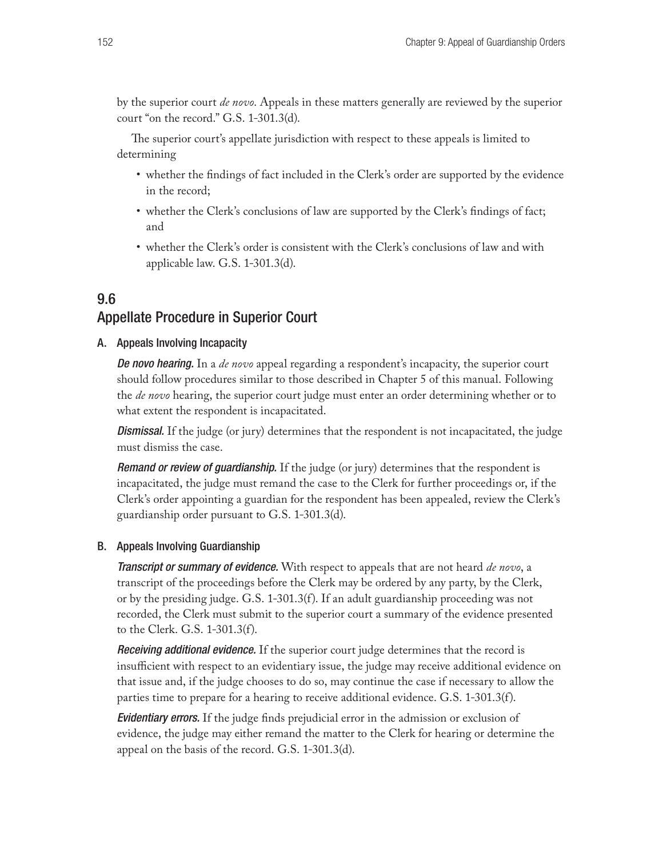by the superior court *de novo*. Appeals in these matters generally are reviewed by the superior court "on the record." G.S. 1-301.3(d).

The superior court's appellate jurisdiction with respect to these appeals is limited to determining

- • whether the findings of fact included in the Clerk's order are supported by the evidence in the record;
- whether the Clerk's conclusions of law are supported by the Clerk's findings of fact; and
- whether the Clerk's order is consistent with the Clerk's conclusions of law and with applicable law. G.S. 1-301.3(d).

# 9.6 Appellate Procedure in Superior Court

#### A. Appeals Involving Incapacity

*De novo hearing.* In a *de novo* appeal regarding a respondent's incapacity, the superior court should follow procedures similar to those described in Chapter 5 of this manual. Following the *de novo* hearing, the superior court judge must enter an order determining whether or to what extent the respondent is incapacitated.

*Dismissal.* If the judge (or jury) determines that the respondent is not incapacitated, the judge must dismiss the case.

*Remand or review of guardianship.* If the judge (or jury) determines that the respondent is incapacitated, the judge must remand the case to the Clerk for further proceedings or, if the Clerk's order appointing a guardian for the respondent has been appealed, review the Clerk's guardianship order pursuant to G.S. 1-301.3(d).

#### B. Appeals Involving Guardianship

*Transcript or summary of evidence.* With respect to appeals that are not heard *de novo*, a transcript of the proceedings before the Clerk may be ordered by any party, by the Clerk, or by the presiding judge. G.S. 1-301.3(f). If an adult guardianship proceeding was not recorded, the Clerk must submit to the superior court a summary of the evidence presented to the Clerk. G.S. 1-301.3(f).

*Receiving additional evidence.* If the superior court judge determines that the record is insufficient with respect to an evidentiary issue, the judge may receive additional evidence on that issue and, if the judge chooses to do so, may continue the case if necessary to allow the parties time to prepare for a hearing to receive additional evidence. G.S. 1-301.3(f).

*Evidentiary errors.* If the judge finds prejudicial error in the admission or exclusion of evidence, the judge may either remand the matter to the Clerk for hearing or determine the appeal on the basis of the record. G.S. 1-301.3(d).